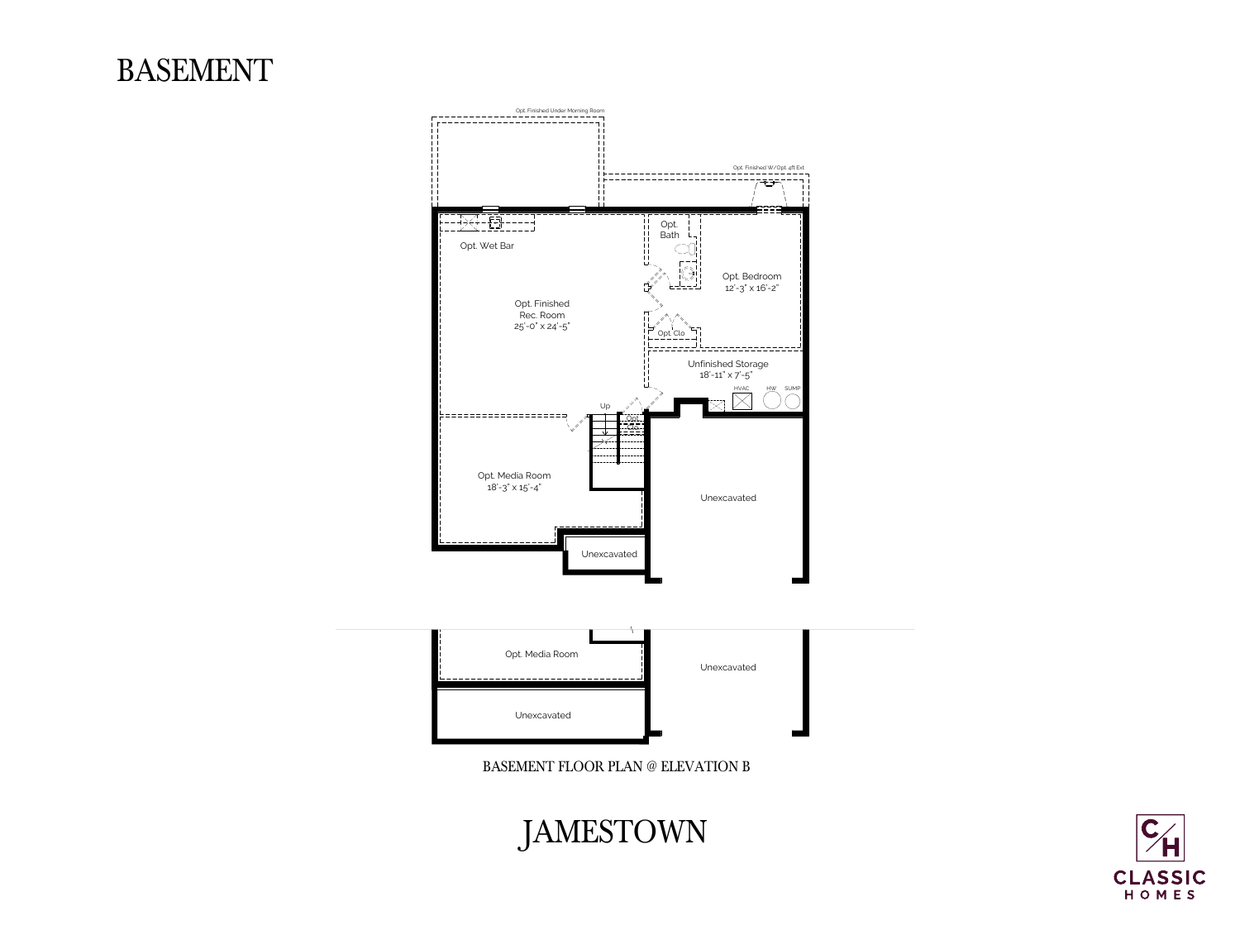Opt. Finished Under Morning Room

--------------------------

#### Opt. Finished W/Opt. 4ft Ext **Contract** - - - - - - - - - - - - - - - - - $\begin{array}{c} \begin{array}{c} \begin{array}{c} \uparrow \\ \uparrow \end{array} \end{array} & \begin{array}{c} \uparrow \\ \uparrow \end{array} \end{array} \end{array} \begin{array}{c} \begin{array}{c} \uparrow \\ \uparrow \end{array} \end{array} \begin{array}{c} \begin{array}{c} \uparrow \\ \uparrow \end{array} \end{array} \begin{array}{c} \begin{array}{c} \uparrow \\ \downarrow \end{array} \end{array} \begin{array}{c} \begin{array}{c} \uparrow \\ \downarrow \end{array} \end{array} \begin{array}{c} \begin{array}{c} \uparrow \\ \downarrow \end{array} \end$ Opt. Bath Opt. Wet Bar  $\begin{array}{c}\n -\frac{1}{2} & -\frac{1}{2} & -\frac{1}{2} \\
 -\frac{1}{2} & -\frac{1}{2} & -\frac{1}{2} \\
 -\frac{1}{2} & -\frac{1}{2} & -\frac{1}{2}\n \end{array}$ Opt. Bedroom 12'-3" x 16'-2" Opt. Finished Rec. Room 25'-0" x 24'-5"  $\begin{array}{c}\n\Box \quad \text{Opt} \ \text{Clo} \\
\longleftarrow \quad \text{--} \ \text{--} \ \text{--} \ \text{--} \ \text{--} \ \text{--} \ \text{--} \ \text{--} \ \text{--} \ \text{--} \ \text{--} \ \text{--} \ \text{--} \ \text{--} \ \text{--} \ \text{--} \ \text{--} \ \text{--} \ \text{--} \ \text{--} \ \text{--} \ \text{--} \ \text{--} \ \text{--} \ \text{--} \ \text{--} \ \text{--} \ \text{--} \ \text{--} \ \text{--} \ \text{--} \ \text{$ \_\_\_\_\_\_\_\_\_\_\_\_\_\_\_\_\_\_\_\_\_\_\_ Unfinished Storage 18'-11" x 7'-5" HVAC Up  $\mathbb{Z}$ :=================== Opt. Clo. Opt. Media Room  $18' - 3'' \times 15' - 4''$ Unexcavated --------------\_\_\_\_\_\_\_\_\_\_\_\_\_\_\_ Unexcavated Opt. Media Room Unexcavated Unexcavated

### BASEMENT

## JAMESTOWN



#### BASEMENT FLOOR PLAN @ ELEVATION B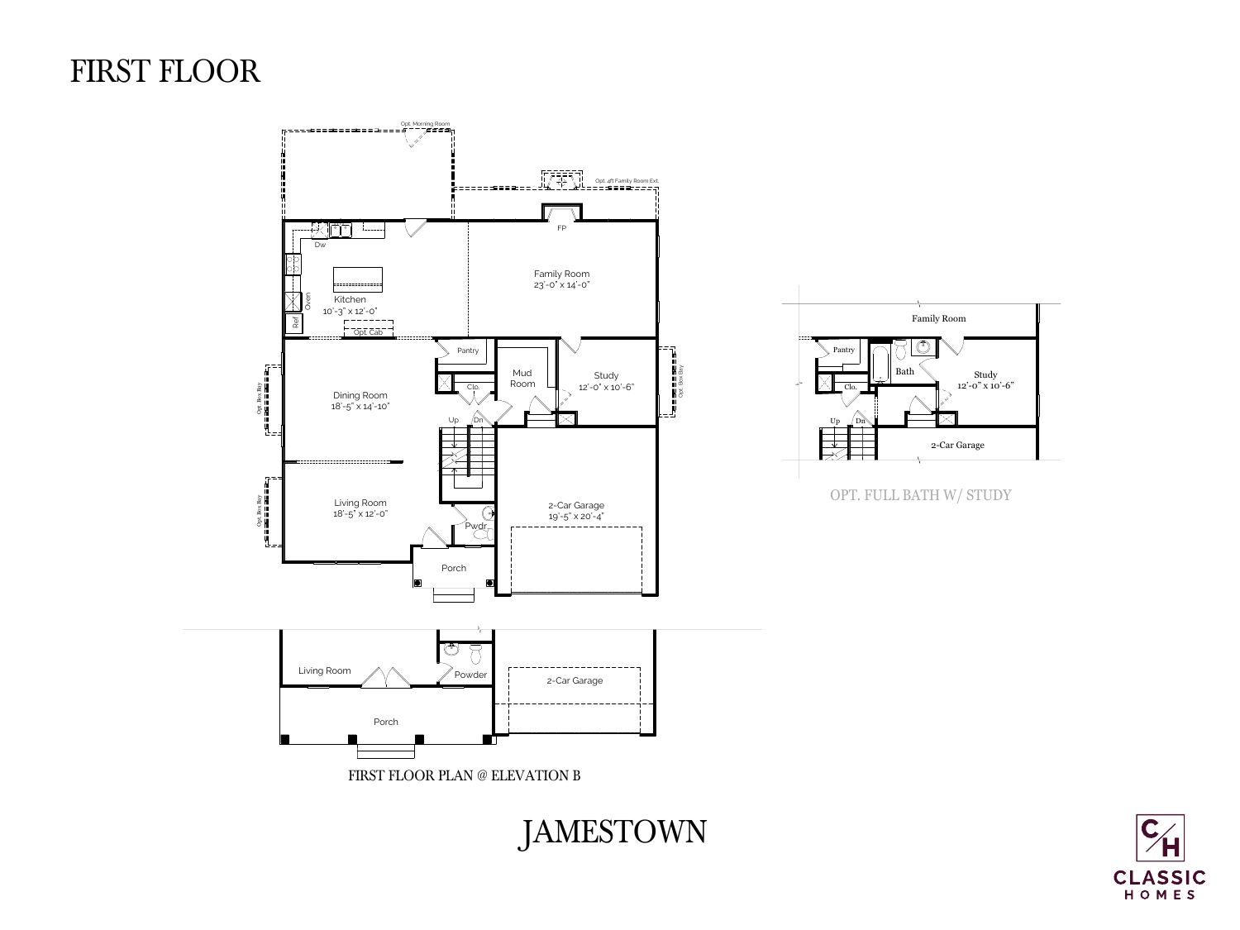OPT. FULL BATH W/ STUDY







## FIRST FLOOR

# JAMESTOWN